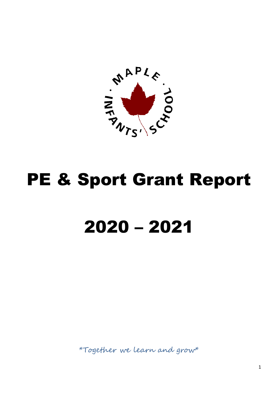

## PE & Sport Grant Report

## 2020 – 2021

\*Together we learn and grow\*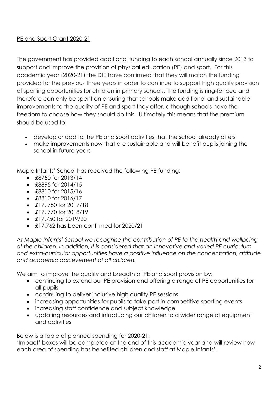## PE and Sport Grant 2020-21

The government has provided additional funding to each school annually since 2013 to support and improve the provision of physical education (PE) and sport. For this academic year (2020-21) the DfE have confirmed that they will match the funding provided for the previous three years in order to continue to support high quality provision of sporting opportunities for children in primary schools. The funding is ring-fenced and therefore can only be spent on ensuring that schools make additional and sustainable improvements to the quality of PE and sport they offer, although schools have the freedom to choose how they should do this. Ultimately this means that the premium should be used to:

- develop or add to the PE and sport activities that the school already offers
- make improvements now that are sustainable and will benefit pupils joining the school in future years

Maple Infants' School has received the following PE funding:

- $\cdot$  £8750 for 2013/14
- $\cdot$  £8895 for 2014/15
- £8810 for 2015/16
- £8810 for 2016/17
- £17, 750 for 2017/18
- $\cdot$  £17, 770 for 2018/19
- $\bullet$  £17,750 for 2019/20
- £17,762 has been confirmed for 2020/21

*At Maple Infants' School we recognise the contribution of PE to the health and wellbeing of the children. In addition, it is considered that an innovative and varied PE curriculum and extra-curricular opportunities have a positive influence on the concentration, attitude and academic achievement of all children.*

We aim to improve the quality and breadth of PE and sport provision by:

- continuing to extend our PE provision and offering a range of PE opportunities for all pupils
- continuing to deliver inclusive high quality PE sessions
- increasing opportunities for pupils to take part in competitive sporting events
- increasing staff confidence and subject knowledge
- updating resources and introducing our children to a wider range of equipment and activities

Below is a table of planned spending for 2020-21.

'Impact' boxes will be completed at the end of this academic year and will review how each area of spending has benefited children and staff at Maple Infants'.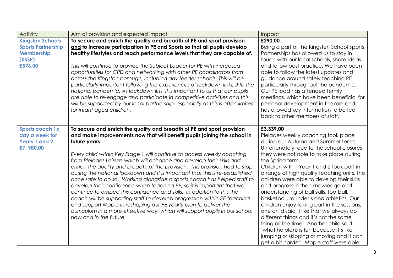| <b>Activity</b>                                                                                | Aim of provision and expected impact                                                                                                                                                                                                                                                                                                                                                                                                                                                                                                                                                                                                                                                                                                                                                                                                                                                                                                                                         | Impact                                                                                                                                                                                                                                                                                                                                                                                                                                                                                                                                                                                                                                                                                                                                                                                         |
|------------------------------------------------------------------------------------------------|------------------------------------------------------------------------------------------------------------------------------------------------------------------------------------------------------------------------------------------------------------------------------------------------------------------------------------------------------------------------------------------------------------------------------------------------------------------------------------------------------------------------------------------------------------------------------------------------------------------------------------------------------------------------------------------------------------------------------------------------------------------------------------------------------------------------------------------------------------------------------------------------------------------------------------------------------------------------------|------------------------------------------------------------------------------------------------------------------------------------------------------------------------------------------------------------------------------------------------------------------------------------------------------------------------------------------------------------------------------------------------------------------------------------------------------------------------------------------------------------------------------------------------------------------------------------------------------------------------------------------------------------------------------------------------------------------------------------------------------------------------------------------------|
| <b>Kingston Schools</b><br><b>Sports Partnership</b><br><b>Membership</b><br>(KSSP)<br>£576.00 | To secure and enrich the quality and breadth of PE and sport provision<br>and to increase participation in PE and Sports so that all pupils develop<br>healthy lifestyles and reach performance levels that they are capable of.<br>This will continue to provide the Subject Leader for PE with increased<br>opportunities for CPD and networking with other PE coordinators from<br>across the Kingston borough, including any feeder schools. This will be<br>particularly important following the experiences of lockdown linked to the<br>national pandemic. As lockdown lifts, it is important to us that our pupils<br>are able to re-engage and participate in competitive activities and this<br>will be supported by our local partnership, especially as this is often limited<br>for infant aged children.                                                                                                                                                       | £290.00<br>Being a part of the Kingston School Sports<br>Partnerships has allowed us to stay in<br>touch with our local schools, share ideas<br>and follow best practice. We have been<br>able to follow the latest updates and<br>guidance around safely teaching PE<br>particularly throughout the pandemic.<br>Our PE lead has attended termly<br>meetings, which have been beneficial for<br>personal development in the role and<br>has allowed key information to be fed<br>back to other members of staff.                                                                                                                                                                                                                                                                              |
| <b>Sports coach 1x</b><br>day a week for<br><b>Years 1 and 2</b><br>£7,980.00                  | To secure and enrich the quality and breadth of PE and sport provision<br>and make improvements now that will benefit pupils joining the school in<br>future years.<br>Every child within Key Stage 1 will continue to access weekly coaching<br>from Pleiades Leisure which will enhance and develop their skills and<br>enrich the quality and breadth of the provision. This provision had to stop<br>during the national lockdown and it is important that this is re-established<br>once safe to do so. Working alongside a sports coach has helped staff to<br>develop their confidence when teaching PE, so it is important that we<br>continue to embed this confidence and skills. In addition to this the<br>coach will be supporting staff to develop progression within PE teaching<br>and support Maple in reshaping our PE yearly plan to deliver the<br>curriculum in a more effective way; which will support pupils in our school<br>now and in the future. | £3,339.00<br>Pleiades weekly coaching took place<br>during our Autumn and Summer terms.<br>Unfortunately, due to the school closures<br>they were not able to take place during<br>the Spring term.<br>Children within Year 1 and 2 took part in<br>a range of high quality teaching units, the<br>children were able to develop their skills<br>and progress in their knowledge and<br>understanding of ball skills, football,<br>basketball, rounder's and athletics. Our<br>children enjoy taking part in the sessions,<br>one child said 'I like that we always do<br>different things and it's not the same<br>thing all the time'. Another child said<br>'what he plans is fun because it's like<br>jumping or skipping or moving and it can<br>get a bit harder'. Maple staff were able |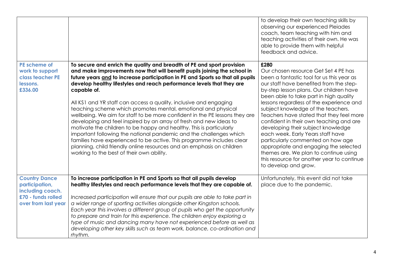|                                                                                                         |                                                                                                                                                                                                                                                                                                                                                                                                                                                                                                                                                                                                                                                                                                                                                                                                                                                                                                                                                                     | to develop their own teaching skills by<br>observing our experienced Pleiades<br>coach, team teaching with him and<br>teaching activities of their own. He was<br>able to provide them with helpful<br>feedback and advice.                                                                                                                                                                                                                                                                                                                                                                                                                                                |
|---------------------------------------------------------------------------------------------------------|---------------------------------------------------------------------------------------------------------------------------------------------------------------------------------------------------------------------------------------------------------------------------------------------------------------------------------------------------------------------------------------------------------------------------------------------------------------------------------------------------------------------------------------------------------------------------------------------------------------------------------------------------------------------------------------------------------------------------------------------------------------------------------------------------------------------------------------------------------------------------------------------------------------------------------------------------------------------|----------------------------------------------------------------------------------------------------------------------------------------------------------------------------------------------------------------------------------------------------------------------------------------------------------------------------------------------------------------------------------------------------------------------------------------------------------------------------------------------------------------------------------------------------------------------------------------------------------------------------------------------------------------------------|
| PE scheme of<br>work to support<br>class teacher PE<br>lessons.<br>£336.00                              | To secure and enrich the quality and breadth of PE and sport provision<br>and make improvements now that will benefit pupils joining the school in<br>future years and to increase participation in PE and Sports so that all pupils<br>develop healthy lifestyles and reach performance levels that they are<br>capable of.<br>All KS1 and YR staff can access a quality, inclusive and engaging<br>teaching scheme which promotes mental, emotional and physical<br>wellbeing. We aim for staff to be more confident in the PE lessons they are<br>developing and feel inspired by an array of fresh and new ideas to<br>motivate the children to be happy and healthy. This is particularly<br>important following the national pandemic and the challenges which<br>families have experienced to be active. This programme includes clear<br>planning, child friendly online resources and an emphasis on children<br>working to the best of their own ability. | £280<br>Our chosen resource Get Set 4 PE has<br>been a fantastic tool for us this year as<br>our staff have benefited from the step-<br>by-step lesson plans. Our children have<br>been able to take part in high quality<br>lessons regardless of the experience and<br>subject knowledge of the teachers.<br>Teachers have stated that they feel more<br>confident in their own teaching and are<br>developing their subject knowledge<br>each week. Early Years staff have<br>particularly commented on how age<br>appropriate and engaging the selected<br>themes are. We plan to continue using<br>this resource for another year to continue<br>to develop and grow. |
| <b>Country Dance</b><br>participation,<br>including coach.<br>£70 - funds rolled<br>over from last year | To increase participation in PE and Sports so that all pupils develop<br>healthy lifestyles and reach performance levels that they are capable of.<br>Increased participation will ensure that our pupils are able to take part in<br>a wider range of sporting activities alongside other Kingston schools.<br>Each year this involves a different group of pupils who get the opportunity<br>to prepare and train for this experience. The children enjoy exploring a<br>type of music and dancing many have not experienced before as well as<br>developing other key skills such as team work, balance, co-ordination and<br>rhythm.                                                                                                                                                                                                                                                                                                                            | Unfortunately, this event did not take<br>place due to the pandemic.                                                                                                                                                                                                                                                                                                                                                                                                                                                                                                                                                                                                       |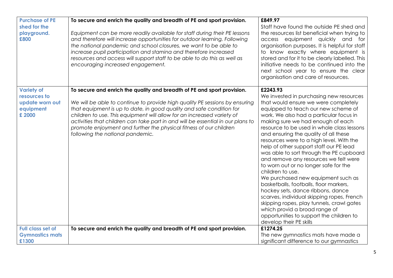| <b>Purchase of PE</b><br>shed for the<br>playground.<br>£800                | To secure and enrich the quality and breadth of PE and sport provision.<br>Equipment can be more readily available for staff during their PE lessons<br>and therefore will increase opportunities for outdoor learning. Following<br>the national pandemic and school closures, we want to be able to<br>increase pupil participation and stamina and therefore increased<br>resources and access will support staff to be able to do this as well as<br>encouraging increased engagement.            | £849.97<br>Staff have found the outside PE shed and<br>the resources list beneficial when trying to<br>access equipment quickly and for<br>organisation purposes. It is helpful for staff<br>to know exactly where equipment is<br>stored and for it to be clearly labelled. This<br>initiative needs to be continued into the<br>next school year to ensure the clear<br>organisation and care of resources.                                                                                                                                                                                                                                                                                                                                                                                                                                                              |
|-----------------------------------------------------------------------------|-------------------------------------------------------------------------------------------------------------------------------------------------------------------------------------------------------------------------------------------------------------------------------------------------------------------------------------------------------------------------------------------------------------------------------------------------------------------------------------------------------|----------------------------------------------------------------------------------------------------------------------------------------------------------------------------------------------------------------------------------------------------------------------------------------------------------------------------------------------------------------------------------------------------------------------------------------------------------------------------------------------------------------------------------------------------------------------------------------------------------------------------------------------------------------------------------------------------------------------------------------------------------------------------------------------------------------------------------------------------------------------------|
| <b>Variety of</b><br>resources to<br>update worn out<br>equipment<br>£ 2000 | To secure and enrich the quality and breadth of PE and sport provision.<br>We will be able to continue to provide high quality PE sessions by ensuring<br>that equipment is up to date, in good quality and safe condition for<br>children to use. This equipment will allow for an increased variety of<br>activities that children can take part in and will be essential in our plans to<br>promote enjoyment and further the physical fitness of our children<br>following the national pandemic. | £2243.93<br>We invested in purchasing new resources<br>that would ensure we were completely<br>equipped to teach our new scheme of<br>work. We also had a particular focus in<br>making sure we had enough of each<br>resource to be used in whole class lessons<br>and ensuring the quality of all these<br>resources were to a high level. With the<br>help of other support staff our PE lead<br>was able to sort through the PE cupboard<br>and remove any resources we felt were<br>to worn out or no longer safe for the<br>children to use.<br>We purchased new equipment such as<br>basketballs, footballs, floor markers,<br>hockey sets, dance ribbons, dance<br>scarves, individual skipping ropes, French<br>skipping ropes, play tunnels, crawl gates<br>which provid a broad range of<br>opportunities to support the children to<br>develop their PE skills |
| <b>Full class set of</b><br><b>Gymnastics mats</b><br>£1300                 | To secure and enrich the quality and breadth of PE and sport provision.                                                                                                                                                                                                                                                                                                                                                                                                                               | £1274.25<br>The new gymnastics mats have made a<br>significant difference to our gymnastics                                                                                                                                                                                                                                                                                                                                                                                                                                                                                                                                                                                                                                                                                                                                                                                |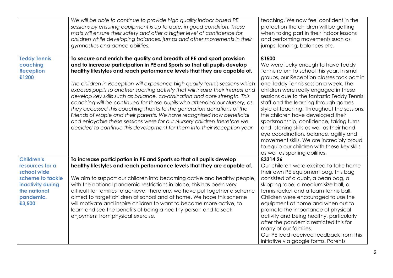|                                                                                                                                     | We will be able to continue to provide high quality indoor based PE<br>sessions by ensuring equipment is up to date, in good condition. These<br>mats will ensure their safety and offer a higher level of confidence for<br>children while developing balances, jumps and other movements in their<br>gymnastics and dance abilities.                                                                                                                                                                                                                                                                                                                                                                                                                                                                                                                                 | teaching. We now feel confident in the<br>protection the children will be getting<br>when taking part in their indoor lessons<br>and performing movements such as<br>jumps, landing, balances etc.                                                                                                                                                                                                                                                                                                                                                                                                                                                                  |
|-------------------------------------------------------------------------------------------------------------------------------------|------------------------------------------------------------------------------------------------------------------------------------------------------------------------------------------------------------------------------------------------------------------------------------------------------------------------------------------------------------------------------------------------------------------------------------------------------------------------------------------------------------------------------------------------------------------------------------------------------------------------------------------------------------------------------------------------------------------------------------------------------------------------------------------------------------------------------------------------------------------------|---------------------------------------------------------------------------------------------------------------------------------------------------------------------------------------------------------------------------------------------------------------------------------------------------------------------------------------------------------------------------------------------------------------------------------------------------------------------------------------------------------------------------------------------------------------------------------------------------------------------------------------------------------------------|
| <b>Teddy Tennis</b><br>coaching<br><b>Reception</b><br>£1200                                                                        | To secure and enrich the quality and breadth of PE and sport provision<br>and to increase participation in PE and Sports so that all pupils develop<br>healthy lifestyles and reach performance levels that they are capable of.<br>The children in Reception will experience high quality tennis sessions which<br>exposes pupils to another sporting activity that will inspire their interest and<br>develop key skills such as balance, co-ordination and core strength. This<br>coaching will be continued for those pupils who attended our Nursery, as<br>they accessed this coaching thanks to the generation donations of the<br>Friends of Maple and their parents. We have recognised how beneficial<br>and enjoyable these sessions were for our Nursery children therefore we<br>decided to continue this development for them into their Reception year. | £1500<br>We were lucky enough to have Teddy<br>Tennis return to school this year. In small<br>groups, our Reception classes took part in<br>one Teddy Tennis session a week. The<br>children were really engaged in these<br>sessions due to the fantastic Teddy Tennis<br>staff and the learning through games<br>style of teaching. Throughout the sessions,<br>the children have developed their<br>sportsmanship, confidence, taking turns<br>and listening skills as well as their hand<br>eye coordination, balance, agility and<br>movement skills. We are incredibly proud<br>to equip our children with these key skills<br>as well as sporting abilities. |
| <b>Children's</b><br>resources for a<br>school wide<br>scheme to tackle<br>inactivity during<br>the national<br>pandemic.<br>£3,500 | To increase participation in PE and Sports so that all pupils develop<br>healthy lifestyles and reach performance levels that they are capable of.<br>We aim to support our children into becoming active and healthy people,<br>with the national pandemic restrictions in place, this has been very<br>difficult for families to achieve; therefore, we have put together a scheme<br>aimed to target children at school and at home. We hope this scheme<br>will motivate and inspire children to want to become more active, to<br>learn and see the benefits of being a healthy person and to seek<br>enjoyment from physical exercise.                                                                                                                                                                                                                           | £3314.26<br>Our children were excited to take home<br>their own PE equipment bag, this bag<br>consisted of a quoit, a bean bag, a<br>skipping rope, a medium size ball, a<br>tennis racket and a foam tennis ball.<br>Children were encouraged to use the<br>equipment at home and when out to<br>promote the importance of physical<br>activity and being healthy, particularly<br>after the pandemic restricted this for<br>many of our families.<br>Our PE lead received feedback from this<br>initiative via google forms. Parents                                                                                                                              |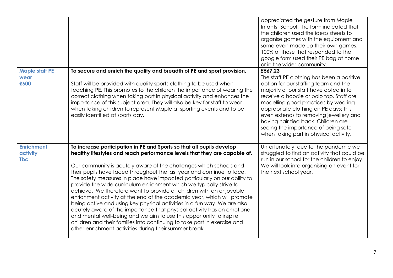|                                             |                                                                                                                                                                                                                                                                                                                                                                                                                                                                                                                                                                                                                                                                                                                                                                                                                                                                                                                                                                               | appreciated the gesture from Maple<br>Infants' School. The form indicated that<br>the children used the ideas sheets to<br>organise games with the equipment and<br>some even made up their own games.<br>100% of those that responded to the<br>google form used their PE bag at home<br>or in the wider community.                                                                                                                |
|---------------------------------------------|-------------------------------------------------------------------------------------------------------------------------------------------------------------------------------------------------------------------------------------------------------------------------------------------------------------------------------------------------------------------------------------------------------------------------------------------------------------------------------------------------------------------------------------------------------------------------------------------------------------------------------------------------------------------------------------------------------------------------------------------------------------------------------------------------------------------------------------------------------------------------------------------------------------------------------------------------------------------------------|-------------------------------------------------------------------------------------------------------------------------------------------------------------------------------------------------------------------------------------------------------------------------------------------------------------------------------------------------------------------------------------------------------------------------------------|
| <b>Maple staff PE</b><br>wear<br>£600       | To secure and enrich the quality and breadth of PE and sport provision.<br>Staff will be provided with quality sports clothing to be used when<br>teaching PE. This promotes to the children the importance of wearing the<br>correct clothing when taking part in physical activity and enhances the<br>importance of this subject area. They will also be key for staff to wear<br>when taking children to represent Maple at sporting events and to be<br>easily identified at sports day.                                                                                                                                                                                                                                                                                                                                                                                                                                                                                 | £567.23<br>The staff PE clothing has been a positive<br>option for our staffing team and the<br>majority of our staff have opted in to<br>receive a hoodie or polo top. Staff are<br>modelling good practices by wearing<br>appropriate clothing on PE days; this<br>even extends to removing jewellery and<br>having hair tied back. Children are<br>seeing the importance of being safe<br>when taking part in physical activity. |
| <b>Enrichment</b><br>activity<br><b>Tbc</b> | To increase participation in PE and Sports so that all pupils develop<br>healthy lifestyles and reach performance levels that they are capable of.<br>Our community is acutely aware of the challenges which schools and<br>their pupils have faced throughout the last year and continue to face.<br>The safety measures in place have impacted particularly on our ability to<br>provide the wide curriculum enrichment which we typically strive to<br>achieve. We therefore want to provide all children with an enjoyable<br>enrichment activity at the end of the academic year, which will promote<br>being active and using key physical activities in a fun way. We are also<br>acutely aware of the importance that physical activity has on emotional<br>and mental well-being and we aim to use this opportunity to inspire<br>children and their families into continuing to take part in exercise and<br>other enrichment activities during their summer break. | Unfortunately, due to the pandemic we<br>struggled to find an activity that could be<br>run in our school for the children to enjoy.<br>We will look into organising an event for<br>the next school year.                                                                                                                                                                                                                          |